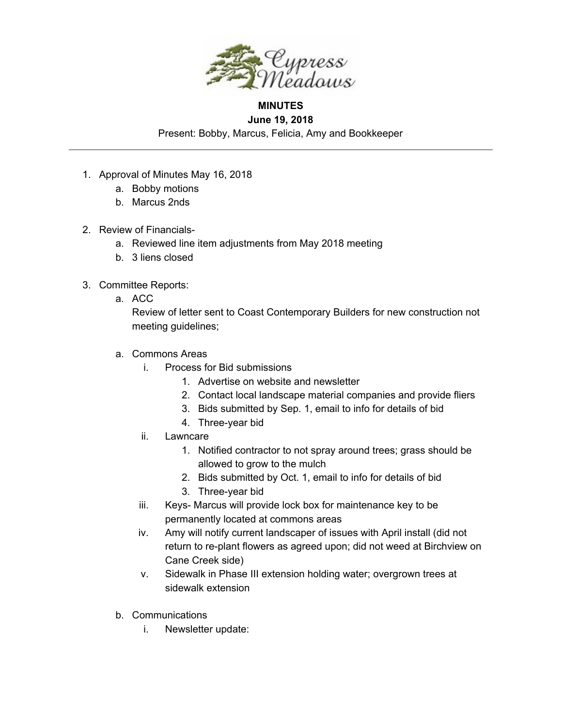

## **MINUTES June 19, 2018**

Present: Bobby, Marcus, Felicia, Amy and Bookkeeper

- 1. Approval of Minutes May 16, 2018
	- a. Bobby motions
	- b. Marcus 2nds
- 2. Review of Financials
	- a. Reviewed line item adjustments from May 2018 meeting
	- b. 3 liens closed
- 3. Committee Reports:
	- a. ACC

Review of letter sent to Coast Contemporary Builders for new construction not meeting guidelines;

- a. Commons Areas
	- i. Process for Bid submissions
		- 1. Advertise on website and newsletter
		- 2. Contact local landscape material companies and provide fliers
		- 3. Bids submitted by Sep. 1, email to info for details of bid
		- 4. Three-year bid
	- ii. Lawncare
		- 1. Notified contractor to not spray around trees; grass should be allowed to grow to the mulch
		- 2. Bids submitted by Oct. 1, email to info for details of bid
		- 3. Three-year bid
	- iii. Keys- Marcus will provide lock box for maintenance key to be permanently located at commons areas
	- iv. Amy will notify current landscaper of issues with April install (did not return to re-plant flowers as agreed upon; did not weed at Birchview on Cane Creek side)
	- v. Sidewalk in Phase III extension holding water; overgrown trees at sidewalk extension
- b. Communications
	- i. Newsletter update: